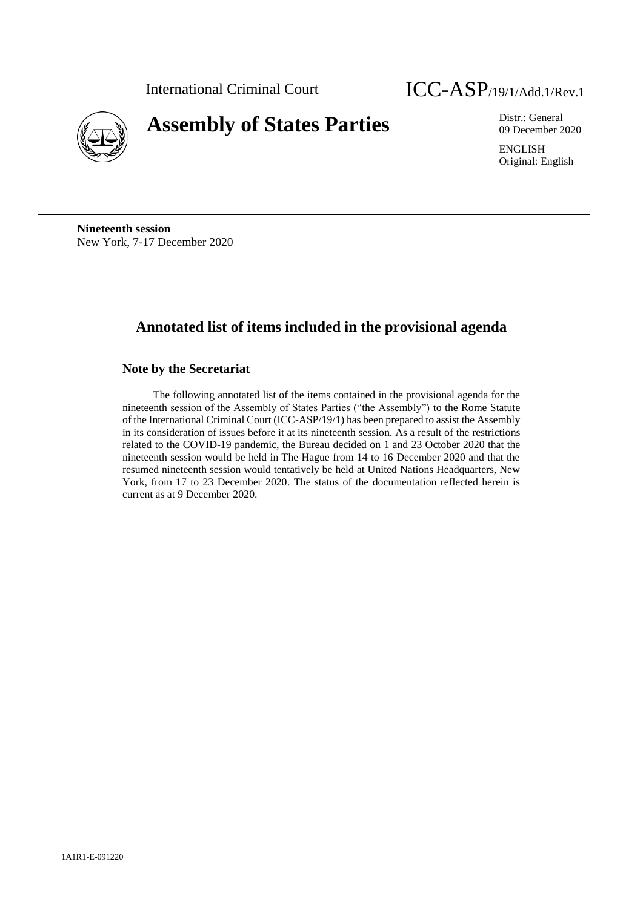

# **Assembly of States Parties** Distr.: General

09 December 2020

ENGLISH Original: English

**Nineteenth session** New York, 7-17 December 2020

# **Annotated list of items included in the provisional agenda**

# **Note by the Secretariat**

The following annotated list of the items contained in the provisional agenda for the nineteenth session of the Assembly of States Parties ("the Assembly") to the Rome Statute of the International Criminal Court (ICC-ASP/19/1) has been prepared to assist the Assembly in its consideration of issues before it at its nineteenth session. As a result of the restrictions related to the COVID-19 pandemic, the Bureau decided on 1 and 23 October 2020 that the nineteenth session would be held in The Hague from 14 to 16 December 2020 and that the resumed nineteenth session would tentatively be held at United Nations Headquarters, New York, from 17 to 23 December 2020. The status of the documentation reflected herein is current as at 9 December 2020.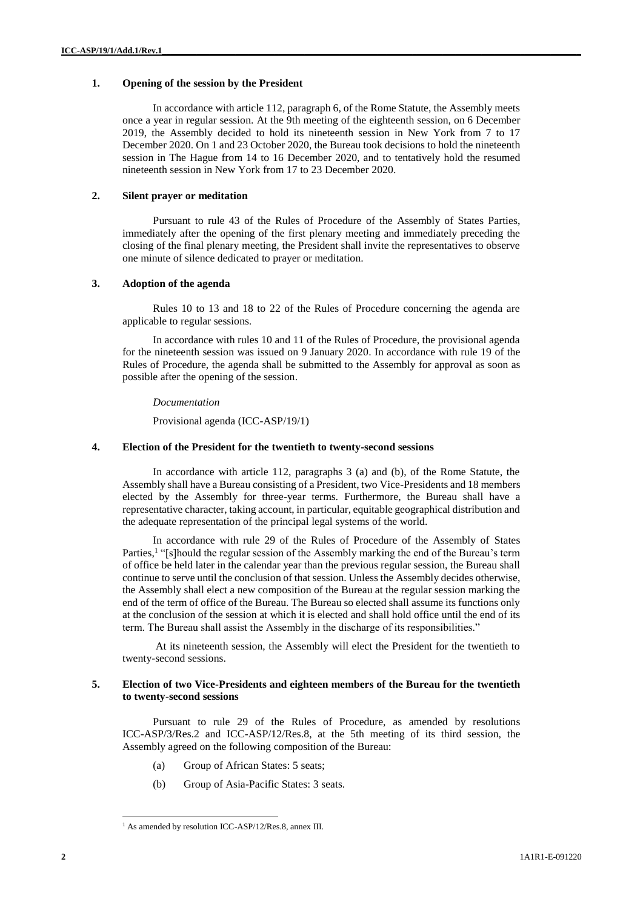# **1. Opening of the session by the President**

In accordance with article 112, paragraph 6, of the Rome Statute, the Assembly meets once a year in regular session. At the 9th meeting of the eighteenth session, on 6 December 2019, the Assembly decided to hold its nineteenth session in New York from 7 to 17 December 2020. On 1 and 23 October 2020, the Bureau took decisions to hold the nineteenth session in The Hague from 14 to 16 December 2020, and to tentatively hold the resumed nineteenth session in New York from 17 to 23 December 2020.

# **2. Silent prayer or meditation**

Pursuant to rule 43 of the Rules of Procedure of the Assembly of States Parties, immediately after the opening of the first plenary meeting and immediately preceding the closing of the final plenary meeting, the President shall invite the representatives to observe one minute of silence dedicated to prayer or meditation.

#### **3. Adoption of the agenda**

Rules 10 to 13 and 18 to 22 of the Rules of Procedure concerning the agenda are applicable to regular sessions.

In accordance with rules 10 and 11 of the Rules of Procedure, the provisional agenda for the nineteenth session was issued on 9 January 2020. In accordance with rule 19 of the Rules of Procedure, the agenda shall be submitted to the Assembly for approval as soon as possible after the opening of the session.

#### *Documentation*

Provisional agenda (ICC-ASP/19/1)

#### **4. Election of the President for the twentieth to twenty-second sessions**

In accordance with article 112, paragraphs 3 (a) and (b), of the Rome Statute, the Assembly shall have a Bureau consisting of a President, two Vice-Presidents and 18 members elected by the Assembly for three-year terms. Furthermore, the Bureau shall have a representative character, taking account, in particular, equitable geographical distribution and the adequate representation of the principal legal systems of the world.

In accordance with rule 29 of the Rules of Procedure of the Assembly of States Parties,<sup>1</sup> "[s]hould the regular session of the Assembly marking the end of the Bureau's term of office be held later in the calendar year than the previous regular session, the Bureau shall continue to serve until the conclusion of that session. Unless the Assembly decides otherwise, the Assembly shall elect a new composition of the Bureau at the regular session marking the end of the term of office of the Bureau. The Bureau so elected shall assume its functions only at the conclusion of the session at which it is elected and shall hold office until the end of its term. The Bureau shall assist the Assembly in the discharge of its responsibilities."

At its nineteenth session, the Assembly will elect the President for the twentieth to twenty-second sessions.

# **5. Election of two Vice-Presidents and eighteen members of the Bureau for the twentieth to twenty-second sessions**

Pursuant to rule 29 of the Rules of Procedure, as amended by resolutions ICC-ASP/3/Res.2 and ICC-ASP/12/Res.8, at the 5th meeting of its third session, the Assembly agreed on the following composition of the Bureau:

- (a) Group of African States: 5 seats;
- (b) Group of Asia-Pacific States: 3 seats.

<sup>&</sup>lt;sup>1</sup> As amended by resolution ICC-ASP/12/Res.8, annex III.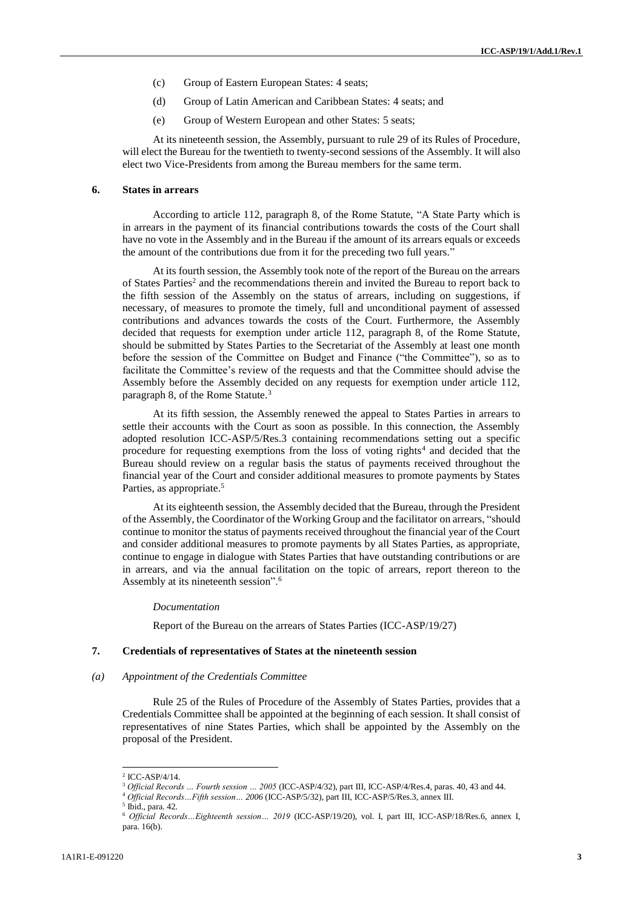- (c) Group of Eastern European States: 4 seats;
- (d) Group of Latin American and Caribbean States: 4 seats; and
- (e) Group of Western European and other States: 5 seats;

At its nineteenth session, the Assembly, pursuant to rule 29 of its Rules of Procedure, will elect the Bureau for the twentieth to twenty-second sessions of the Assembly. It will also elect two Vice-Presidents from among the Bureau members for the same term.

# **6. States in arrears**

According to article 112, paragraph 8, of the Rome Statute, "A State Party which is in arrears in the payment of its financial contributions towards the costs of the Court shall have no vote in the Assembly and in the Bureau if the amount of its arrears equals or exceeds the amount of the contributions due from it for the preceding two full years."

At its fourth session, the Assembly took note of the report of the Bureau on the arrears of States Parties<sup>2</sup> and the recommendations therein and invited the Bureau to report back to the fifth session of the Assembly on the status of arrears, including on suggestions, if necessary, of measures to promote the timely, full and unconditional payment of assessed contributions and advances towards the costs of the Court. Furthermore, the Assembly decided that requests for exemption under article 112, paragraph 8, of the Rome Statute, should be submitted by States Parties to the Secretariat of the Assembly at least one month before the session of the Committee on Budget and Finance ("the Committee"), so as to facilitate the Committee's review of the requests and that the Committee should advise the Assembly before the Assembly decided on any requests for exemption under article 112, paragraph 8, of the Rome Statute.<sup>3</sup>

At its fifth session, the Assembly renewed the appeal to States Parties in arrears to settle their accounts with the Court as soon as possible. In this connection, the Assembly adopted resolution ICC-ASP/5/Res.3 containing recommendations setting out a specific procedure for requesting exemptions from the loss of voting rights<sup>4</sup> and decided that the Bureau should review on a regular basis the status of payments received throughout the financial year of the Court and consider additional measures to promote payments by States Parties, as appropriate.<sup>5</sup>

At its eighteenth session, the Assembly decided that the Bureau, through the President of the Assembly, the Coordinator of the Working Group and the facilitator on arrears, "should continue to monitor the status of payments received throughout the financial year of the Court and consider additional measures to promote payments by all States Parties, as appropriate, continue to engage in dialogue with States Parties that have outstanding contributions or are in arrears, and via the annual facilitation on the topic of arrears, report thereon to the Assembly at its nineteenth session".<sup>6</sup>

#### *Documentation*

Report of the Bureau on the arrears of States Parties (ICC-ASP/19/27)

#### **7. Credentials of representatives of States at the nineteenth session**

#### *(a) Appointment of the Credentials Committee*

Rule 25 of the Rules of Procedure of the Assembly of States Parties, provides that a Credentials Committee shall be appointed at the beginning of each session. It shall consist of representatives of nine States Parties, which shall be appointed by the Assembly on the proposal of the President.

<sup>2</sup> ICC-ASP/4/14.

<sup>3</sup> *Official Records … Fourth session … 2005* (ICC-ASP/4/32), part III, ICC-ASP/4/Res.4, paras. 40, 43 and 44.

<sup>4</sup> *Official Records…Fifth session… 2006* (ICC-ASP/5/32), part III, ICC-ASP/5/Res.3, annex III.

<sup>5</sup> Ibid., para. 42.

<sup>6</sup> *Official Records…Eighteenth session… 2019* (ICC-ASP/19/20), vol. I, part III, ICC-ASP/18/Res.6, annex I, para. 16(b).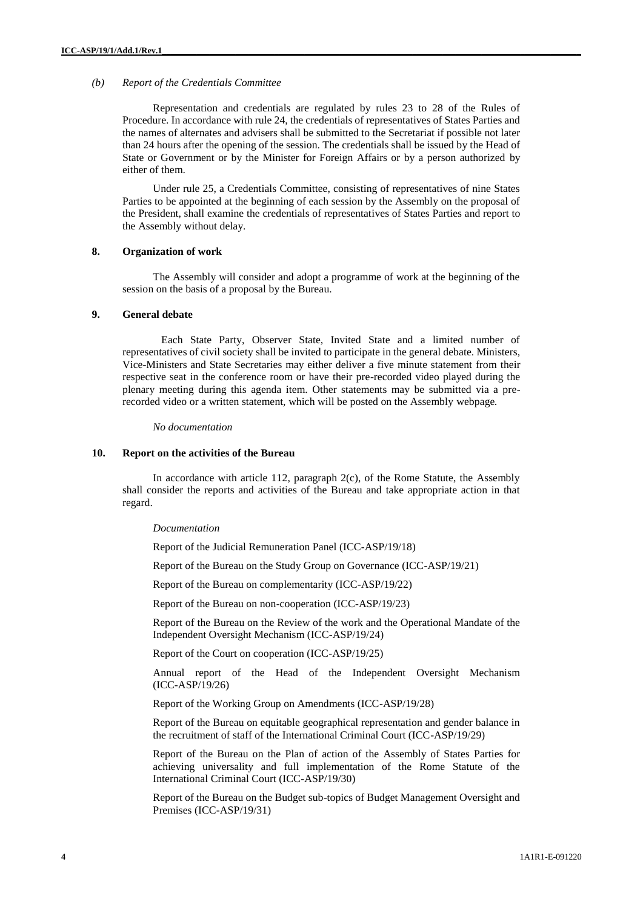#### *(b) Report of the Credentials Committee*

Representation and credentials are regulated by rules 23 to 28 of the Rules of Procedure. In accordance with rule 24, the credentials of representatives of States Parties and the names of alternates and advisers shall be submitted to the Secretariat if possible not later than 24 hours after the opening of the session. The credentials shall be issued by the Head of State or Government or by the Minister for Foreign Affairs or by a person authorized by either of them.

Under rule 25, a Credentials Committee, consisting of representatives of nine States Parties to be appointed at the beginning of each session by the Assembly on the proposal of the President, shall examine the credentials of representatives of States Parties and report to the Assembly without delay.

#### **8. Organization of work**

The Assembly will consider and adopt a programme of work at the beginning of the session on the basis of a proposal by the Bureau.

# **9. General debate**

Each State Party, Observer State, Invited State and a limited number of representatives of civil society shall be invited to participate in the general debate. Ministers, Vice-Ministers and State Secretaries may either deliver a five minute statement from their respective seat in the conference room or have their pre-recorded video played during the plenary meeting during this agenda item. Other statements may be submitted via a prerecorded video or a written statement, which will be posted on the Assembly webpage*.*

*No documentation*

# **10. Report on the activities of the Bureau**

In accordance with article 112, paragraph 2(c), of the Rome Statute, the Assembly shall consider the reports and activities of the Bureau and take appropriate action in that regard.

#### *Documentation*

Report of the Judicial Remuneration Panel (ICC-ASP/19/18)

Report of the Bureau on the Study Group on Governance (ICC-ASP/19/21)

Report of the Bureau on complementarity (ICC-ASP/19/22)

Report of the Bureau on non-cooperation (ICC-ASP/19/23)

Report of the Bureau on the Review of the work and the Operational Mandate of the Independent Oversight Mechanism (ICC-ASP/19/24)

Report of the Court on cooperation (ICC-ASP/19/25)

Annual report of the Head of the Independent Oversight Mechanism (ICC-ASP/19/26)

Report of the Working Group on Amendments (ICC-ASP/19/28)

Report of the Bureau on equitable geographical representation and gender balance in the recruitment of staff of the International Criminal Court (ICC-ASP/19/29)

Report of the Bureau on the Plan of action of the Assembly of States Parties for achieving universality and full implementation of the Rome Statute of the International Criminal Court (ICC-ASP/19/30)

Report of the Bureau on the Budget sub-topics of Budget Management Oversight and Premises (ICC-ASP/19/31)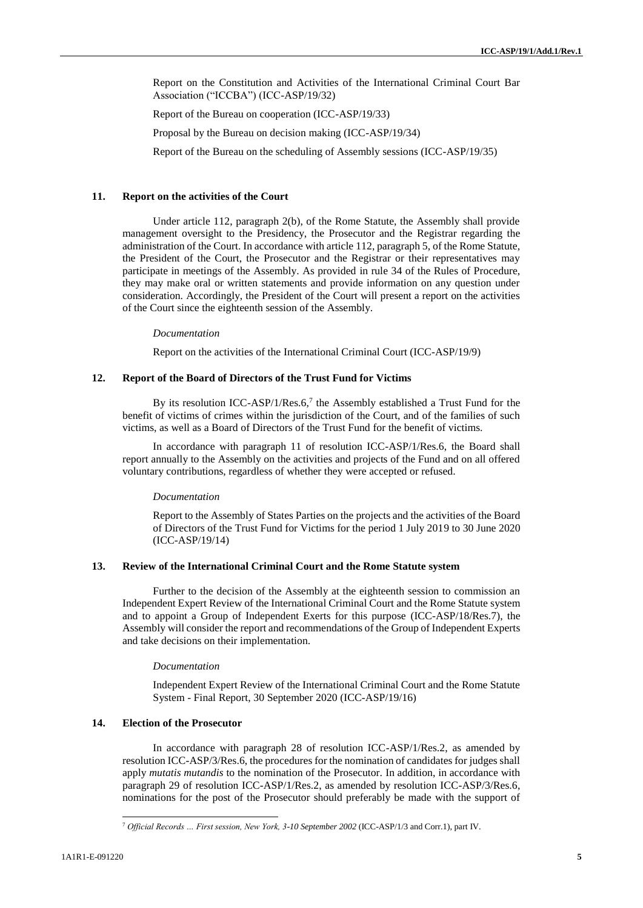Report on the Constitution and Activities of the International Criminal Court Bar Association ("ICCBA") (ICC-ASP/19/32)

Report of the Bureau on cooperation (ICC-ASP/19/33)

Proposal by the Bureau on decision making (ICC-ASP/19/34)

Report of the Bureau on the scheduling of Assembly sessions (ICC-ASP/19/35)

#### **11. Report on the activities of the Court**

Under article 112, paragraph 2(b), of the Rome Statute, the Assembly shall provide management oversight to the Presidency, the Prosecutor and the Registrar regarding the administration of the Court. In accordance with article 112, paragraph 5, of the Rome Statute, the President of the Court, the Prosecutor and the Registrar or their representatives may participate in meetings of the Assembly. As provided in rule 34 of the Rules of Procedure, they may make oral or written statements and provide information on any question under consideration. Accordingly, the President of the Court will present a report on the activities of the Court since the eighteenth session of the Assembly.

#### *Documentation*

Report on the activities of the International Criminal Court (ICC-ASP/19/9)

## **12. Report of the Board of Directors of the Trust Fund for Victims**

By its resolution ICC-ASP/1/Res.6,<sup>7</sup> the Assembly established a Trust Fund for the benefit of victims of crimes within the jurisdiction of the Court, and of the families of such victims, as well as a Board of Directors of the Trust Fund for the benefit of victims.

In accordance with paragraph 11 of resolution ICC-ASP/1/Res.6, the Board shall report annually to the Assembly on the activities and projects of the Fund and on all offered voluntary contributions, regardless of whether they were accepted or refused.

#### *Documentation*

Report to the Assembly of States Parties on the projects and the activities of the Board of Directors of the Trust Fund for Victims for the period 1 July 2019 to 30 June 2020 (ICC-ASP/19/14)

#### **13. Review of the International Criminal Court and the Rome Statute system**

Further to the decision of the Assembly at the eighteenth session to commission an Independent Expert Review of the International Criminal Court and the Rome Statute system and to appoint a Group of Independent Exerts for this purpose (ICC-ASP/18/Res.7), the Assembly will consider the report and recommendations of the Group of Independent Experts and take decisions on their implementation.

#### *Documentation*

Independent Expert Review of the International Criminal Court and the Rome Statute System - Final Report, 30 September 2020 (ICC-ASP/19/16)

# **14. Election of the Prosecutor**

In accordance with paragraph 28 of resolution ICC-ASP/1/Res.2, as amended by resolution ICC-ASP/3/Res.6, the procedures for the nomination of candidates for judges shall apply *mutatis mutandis* to the nomination of the Prosecutor. In addition, in accordance with paragraph 29 of resolution ICC-ASP/1/Res.2, as amended by resolution ICC-ASP/3/Res.6, nominations for the post of the Prosecutor should preferably be made with the support of

<sup>7</sup> *Official Records … First session, New York, 3-10 September 2002* (ICC-ASP/1/3 and Corr.1), part IV.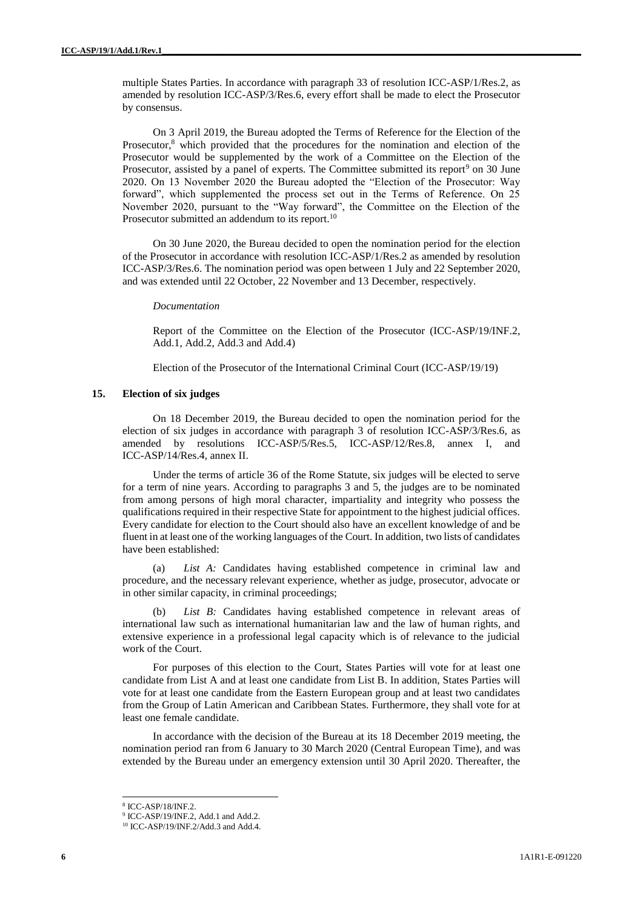multiple States Parties. In accordance with paragraph 33 of resolution ICC-ASP/1/Res.2, as amended by resolution ICC-ASP/3/Res.6, every effort shall be made to elect the Prosecutor by consensus.

On 3 April 2019, the Bureau adopted the Terms of Reference for the Election of the Prosecutor,<sup>8</sup> which provided that the procedures for the nomination and election of the Prosecutor would be supplemented by the work of a Committee on the Election of the Prosecutor, assisted by a panel of experts. The Committee submitted its report<sup>9</sup> on 30 June 2020. On 13 November 2020 the Bureau adopted the "Election of the Prosecutor: Way forward", which supplemented the process set out in the Terms of Reference. On 25 November 2020, pursuant to the "Way forward", the Committee on the Election of the Prosecutor submitted an addendum to its report.<sup>10</sup>

On 30 June 2020, the Bureau decided to open the nomination period for the election of the Prosecutor in accordance with resolution ICC-ASP/1/Res.2 as amended by resolution ICC-ASP/3/Res.6. The nomination period was open between 1 July and 22 September 2020, and was extended until 22 October, 22 November and 13 December, respectively.

#### *Documentation*

Report of the Committee on the Election of the Prosecutor (ICC-ASP/19/INF.2, Add.1, Add.2, Add.3 and Add.4)

Election of the Prosecutor of the International Criminal Court (ICC-ASP/19/19)

# **15. Election of six judges**

On 18 December 2019, the Bureau decided to open the nomination period for the election of six judges in accordance with paragraph 3 of resolution ICC-ASP/3/Res.6, as amended by resolutions ICC-ASP/5/Res.5, ICC-ASP/12/Res.8, annex I, and ICC-ASP/14/Res.4, annex II.

Under the terms of article 36 of the Rome Statute, six judges will be elected to serve for a term of nine years. According to paragraphs 3 and 5, the judges are to be nominated from among persons of high moral character, impartiality and integrity who possess the qualifications required in their respective State for appointment to the highest judicial offices. Every candidate for election to the Court should also have an excellent knowledge of and be fluent in at least one of the working languages of the Court. In addition, two lists of candidates have been established:

(a) *List A:* Candidates having established competence in criminal law and procedure, and the necessary relevant experience, whether as judge, prosecutor, advocate or in other similar capacity, in criminal proceedings;

(b) *List B:* Candidates having established competence in relevant areas of international law such as international humanitarian law and the law of human rights, and extensive experience in a professional legal capacity which is of relevance to the judicial work of the Court.

For purposes of this election to the Court, States Parties will vote for at least one candidate from List A and at least one candidate from List B. In addition, States Parties will vote for at least one candidate from the Eastern European group and at least two candidates from the Group of Latin American and Caribbean States. Furthermore, they shall vote for at least one female candidate.

In accordance with the decision of the Bureau at its 18 December 2019 meeting, the nomination period ran from 6 January to 30 March 2020 (Central European Time), and was extended by the Bureau under an emergency extension until 30 April 2020. Thereafter, the

<sup>8</sup> ICC-ASP/18/INF.2.

<sup>&</sup>lt;sup>9</sup> ICC-ASP/19/INF.2, Add.1 and Add.2.

<sup>&</sup>lt;sup>10</sup> ICC-ASP/19/INF.2/Add.3 and Add.4.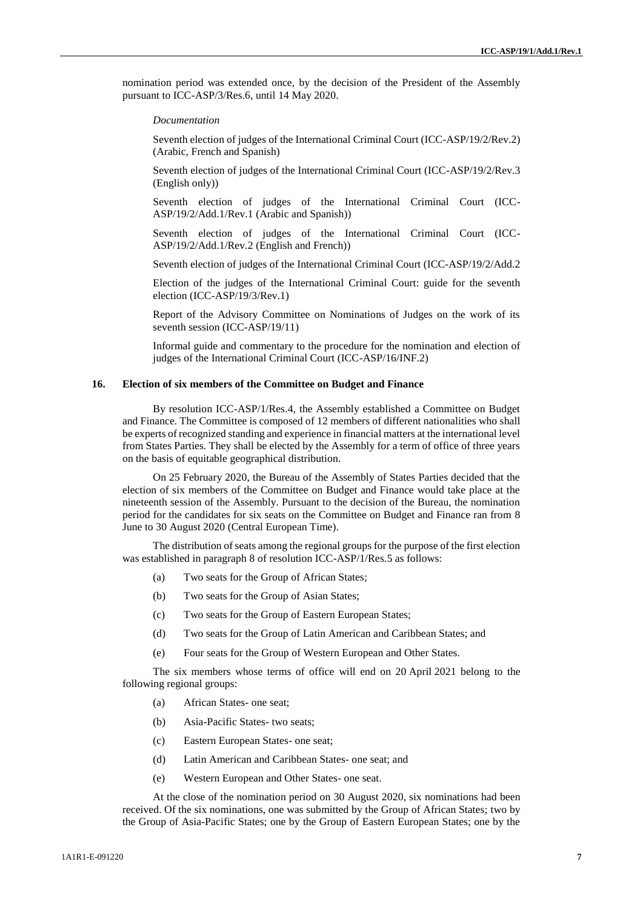nomination period was extended once, by the decision of the President of the Assembly pursuant to ICC-ASP/3/Res.6, until 14 May 2020.

*Documentation*

Seventh election of judges of the International Criminal Court (ICC-ASP/19/2/Rev.2) (Arabic, French and Spanish)

Seventh election of judges of the International Criminal Court (ICC-ASP/19/2/Rev.3 (English only))

Seventh election of judges of the International Criminal Court (ICC-ASP/19/2/Add.1/Rev.1 (Arabic and Spanish))

Seventh election of judges of the International Criminal Court (ICC-ASP/19/2/Add.1/Rev.2 (English and French))

Seventh election of judges of the International Criminal Court (ICC-ASP/19/2/Add.2

Election of the judges of the International Criminal Court: guide for the seventh election (ICC-ASP/19/3/Rev.1)

Report of the Advisory Committee on Nominations of Judges on the work of its seventh session (ICC-ASP/19/11)

Informal guide and commentary to the procedure for the nomination and election of judges of the International Criminal Court (ICC-ASP/16/INF.2)

#### **16. Election of six members of the Committee on Budget and Finance**

By resolution ICC-ASP/1/Res.4, the Assembly established a Committee on Budget and Finance. The Committee is composed of 12 members of different nationalities who shall be experts of recognized standing and experience in financial matters at the international level from States Parties. They shall be elected by the Assembly for a term of office of three years on the basis of equitable geographical distribution.

On 25 February 2020, the Bureau of the Assembly of States Parties decided that the election of six members of the Committee on Budget and Finance would take place at the nineteenth session of the Assembly. Pursuant to the decision of the Bureau, the nomination period for the candidates for six seats on the Committee on Budget and Finance ran from 8 June to 30 August 2020 (Central European Time).

The distribution of seats among the regional groups for the purpose of the first election was established in paragraph 8 of resolution ICC-ASP/1/Res.5 as follows:

- (a) Two seats for the Group of African States;
- (b) Two seats for the Group of Asian States;
- (c) Two seats for the Group of Eastern European States;
- (d) Two seats for the Group of Latin American and Caribbean States; and
- (e) Four seats for the Group of Western European and Other States.

The six members whose terms of office will end on 20 April 2021 belong to the following regional groups:

- (a) African States- one seat;
- (b) Asia-Pacific States- two seats;
- (c) Eastern European States- one seat;
- (d) Latin American and Caribbean States- one seat; and
- (e) Western European and Other States- one seat.

At the close of the nomination period on 30 August 2020, six nominations had been received. Of the six nominations, one was submitted by the Group of African States; two by the Group of Asia-Pacific States; one by the Group of Eastern European States; one by the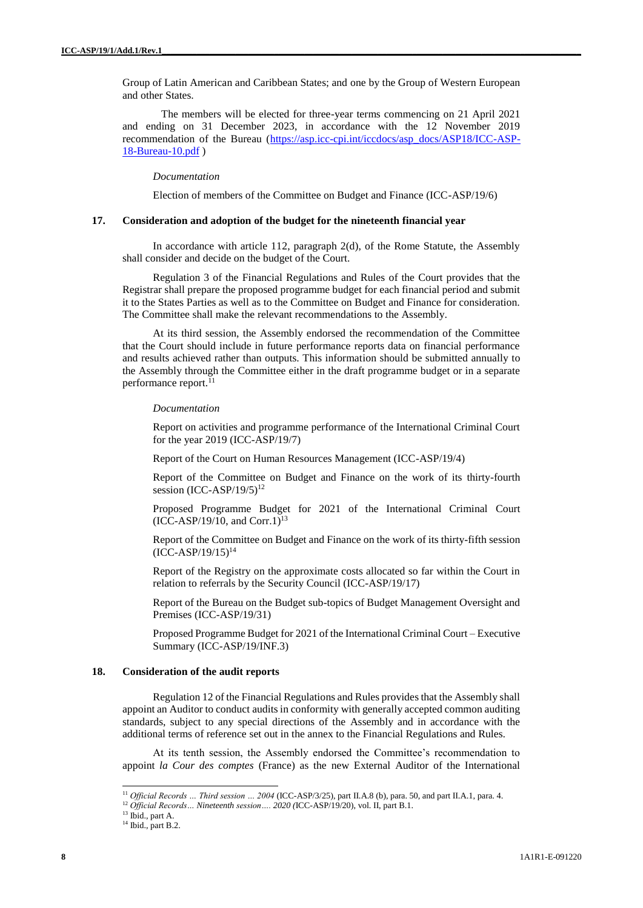Group of Latin American and Caribbean States; and one by the Group of Western European and other States.

The members will be elected for three-year terms commencing on 21 April 2021 and ending on 31 December 2023, in accordance with the 12 November 2019 recommendation of the Bureau [\(https://asp.icc-cpi.int/iccdocs/asp\\_docs/ASP18/ICC-ASP-](https://asp.icc-cpi.int/iccdocs/asp_docs/ASP18/ICC-ASP-18-Bureau-10.pdf)[18-Bureau-10.pdf](https://asp.icc-cpi.int/iccdocs/asp_docs/ASP18/ICC-ASP-18-Bureau-10.pdf) )

# *Documentation*

Election of members of the Committee on Budget and Finance (ICC-ASP/19/6)

#### **17. Consideration and adoption of the budget for the nineteenth financial year**

In accordance with article 112, paragraph 2(d), of the Rome Statute, the Assembly shall consider and decide on the budget of the Court.

Regulation 3 of the Financial Regulations and Rules of the Court provides that the Registrar shall prepare the proposed programme budget for each financial period and submit it to the States Parties as well as to the Committee on Budget and Finance for consideration. The Committee shall make the relevant recommendations to the Assembly.

At its third session, the Assembly endorsed the recommendation of the Committee that the Court should include in future performance reports data on financial performance and results achieved rather than outputs. This information should be submitted annually to the Assembly through the Committee either in the draft programme budget or in a separate performance report.<sup>11</sup>

#### *Documentation*

Report on activities and programme performance of the International Criminal Court for the year 2019 (ICC-ASP/19/7)

Report of the Court on Human Resources Management (ICC-ASP/19/4)

Report of the Committee on Budget and Finance on the work of its thirty-fourth session (ICC-ASP/19/5)<sup>12</sup>

Proposed Programme Budget for 2021 of the International Criminal Court  $(ICC-ASP/19/10, and Corr.1)^{13}$ 

Report of the Committee on Budget and Finance on the work of its thirty-fifth session  $(ICC-ASP/19/15)^{14}$ 

Report of the Registry on the approximate costs allocated so far within the Court in relation to referrals by the Security Council (ICC-ASP/19/17)

Report of the Bureau on the Budget sub-topics of Budget Management Oversight and Premises (ICC-ASP/19/31)

Proposed Programme Budget for 2021 of the International Criminal Court – Executive Summary (ICC-ASP/19/INF.3)

# **18. Consideration of the audit reports**

Regulation 12 of the Financial Regulations and Rules provides that the Assembly shall appoint an Auditor to conduct audits in conformity with generally accepted common auditing standards, subject to any special directions of the Assembly and in accordance with the additional terms of reference set out in the annex to the Financial Regulations and Rules.

At its tenth session, the Assembly endorsed the Committee's recommendation to appoint *la Cour des comptes* (France) as the new External Auditor of the International

<sup>11</sup> *Official Records … Third session … 2004* (ICC-ASP/3/25), part II.A.8 (b), para. 50, and part II.A.1, para. 4.

<sup>12</sup> *Official Records… Nineteenth session…. 2020 (*ICC-ASP/19/20), vol. II, part B.1.

<sup>&</sup>lt;sup>13</sup> Ibid., part A.

<sup>&</sup>lt;sup>14</sup> Ibid., part B.2.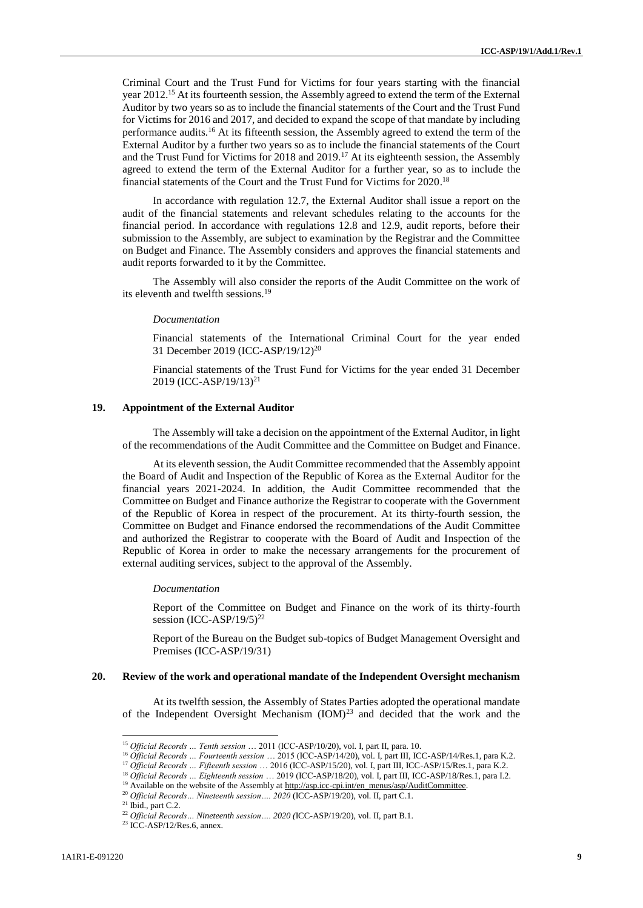Criminal Court and the Trust Fund for Victims for four years starting with the financial year 2012.<sup>15</sup> At its fourteenth session, the Assembly agreed to extend the term of the External Auditor by two years so as to include the financial statements of the Court and the Trust Fund for Victims for 2016 and 2017, and decided to expand the scope of that mandate by including performance audits.<sup>16</sup> At its fifteenth session, the Assembly agreed to extend the term of the External Auditor by a further two years so as to include the financial statements of the Court and the Trust Fund for Victims for 2018 and 2019.<sup>17</sup> At its eighteenth session, the Assembly agreed to extend the term of the External Auditor for a further year, so as to include the financial statements of the Court and the Trust Fund for Victims for 2020. 18

In accordance with regulation 12.7, the External Auditor shall issue a report on the audit of the financial statements and relevant schedules relating to the accounts for the financial period. In accordance with regulations 12.8 and 12.9, audit reports, before their submission to the Assembly, are subject to examination by the Registrar and the Committee on Budget and Finance. The Assembly considers and approves the financial statements and audit reports forwarded to it by the Committee.

The Assembly will also consider the reports of the Audit Committee on the work of its eleventh and twelfth sessions.<sup>19</sup>

#### *Documentation*

Financial statements of the International Criminal Court for the year ended 31 December 2019 (ICC-ASP/19/12)<sup>20</sup>

Financial statements of the Trust Fund for Victims for the year ended 31 December 2019 (ICC-ASP/19/13) 21

#### **19. Appointment of the External Auditor**

The Assembly will take a decision on the appointment of the External Auditor, in light of the recommendations of the Audit Committee and the Committee on Budget and Finance.

At its eleventh session, the Audit Committee recommended that the Assembly appoint the Board of Audit and Inspection of the Republic of Korea as the External Auditor for the financial years 2021-2024. In addition, the Audit Committee recommended that the Committee on Budget and Finance authorize the Registrar to cooperate with the Government of the Republic of Korea in respect of the procurement. At its thirty-fourth session, the Committee on Budget and Finance endorsed the recommendations of the Audit Committee and authorized the Registrar to cooperate with the Board of Audit and Inspection of the Republic of Korea in order to make the necessary arrangements for the procurement of external auditing services, subject to the approval of the Assembly.

#### *Documentation*

Report of the Committee on Budget and Finance on the work of its thirty-fourth session  $(ICC-ASP/19/5)^{22}$ 

Report of the Bureau on the Budget sub-topics of Budget Management Oversight and Premises (ICC-ASP/19/31)

#### **20. Review of the work and operational mandate of the Independent Oversight mechanism**

At its twelfth session, the Assembly of States Parties adopted the operational mandate of the Independent Oversight Mechanism (IOM)<sup>23</sup> and decided that the work and the

<sup>15</sup> *Official Records … Tenth session* … 2011 (ICC-ASP/10/20), vol. I, part II, para. 10.

<sup>16</sup> *Official Records … Fourteenth session* … 2015 (ICC-ASP/14/20), vol. I, part III, ICC-ASP/14/Res.1, para K.2.

<sup>17</sup> *Official Records … Fifteenth session* … 2016 (ICC-ASP/15/20), vol. I, part III, ICC-ASP/15/Res.1, para K.2.

<sup>18</sup> *Official Records … Eighteenth session* … 2019 (ICC-ASP/18/20), vol. I, part III, ICC-ASP/18/Res.1, para I.2.

<sup>&</sup>lt;sup>19</sup> Available on the website of the Assembly at [http://asp.icc-cpi.int/en\\_menus/asp/AuditCommittee.](http://asp.icc-cpi.int/en_menus/asp/AuditCommittee)

<sup>20</sup> *Official Records… Nineteenth session…. 2020* (ICC-ASP/19/20), vol. II, part C.1.

 $21$  Ibid., part C.2.

<sup>22</sup> *Official Records… Nineteenth session…. 2020 (*ICC-ASP/19/20), vol. II, part B.1.

 $23$  ICC-ASP/12/Res.6, annex.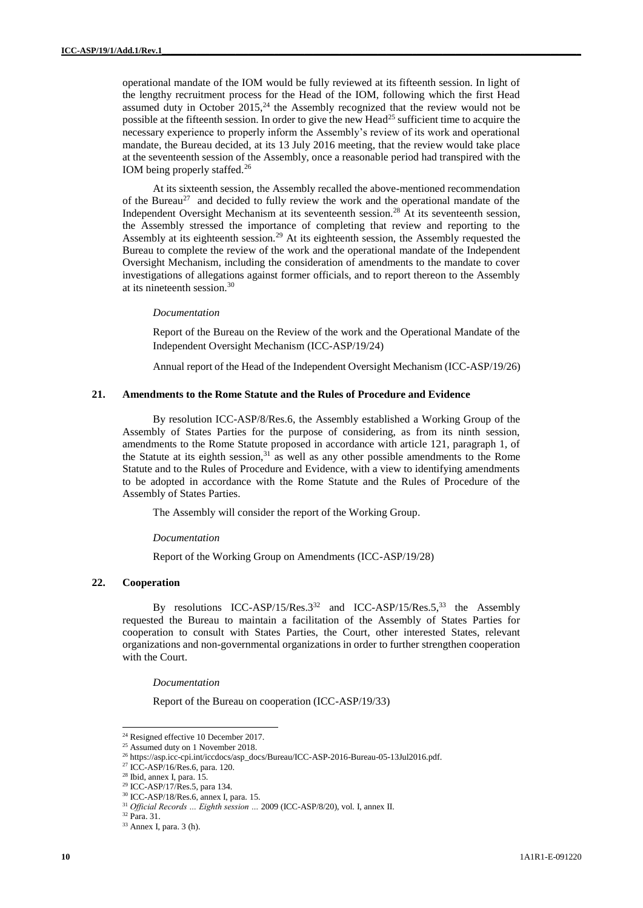operational mandate of the IOM would be fully reviewed at its fifteenth session. In light of the lengthy recruitment process for the Head of the IOM, following which the first Head assumed duty in October  $2015<sub>1</sub><sup>24</sup>$  the Assembly recognized that the review would not be possible at the fifteenth session. In order to give the new Head<sup>25</sup> sufficient time to acquire the necessary experience to properly inform the Assembly's review of its work and operational mandate, the Bureau decided, at its 13 July 2016 meeting, that the review would take place at the seventeenth session of the Assembly, once a reasonable period had transpired with the IOM being properly staffed.<sup>26</sup>

At its sixteenth session, the Assembly recalled the above-mentioned recommendation of the Bureau<sup>27</sup> and decided to fully review the work and the operational mandate of the Independent Oversight Mechanism at its seventeenth session.<sup>28</sup> At its seventeenth session, the Assembly stressed the importance of completing that review and reporting to the Assembly at its eighteenth session.<sup>29</sup> At its eighteenth session, the Assembly requested the Bureau to complete the review of the work and the operational mandate of the Independent Oversight Mechanism, including the consideration of amendments to the mandate to cover investigations of allegations against former officials, and to report thereon to the Assembly at its nineteenth session.<sup>30</sup>

#### *Documentation*

Report of the Bureau on the Review of the work and the Operational Mandate of the Independent Oversight Mechanism (ICC-ASP/19/24)

Annual report of the Head of the Independent Oversight Mechanism (ICC-ASP/19/26)

# **21. Amendments to the Rome Statute and the Rules of Procedure and Evidence**

By resolution ICC-ASP/8/Res.6, the Assembly established a Working Group of the Assembly of States Parties for the purpose of considering, as from its ninth session, amendments to the Rome Statute proposed in accordance with article 121, paragraph 1, of the Statute at its eighth session, $31$  as well as any other possible amendments to the Rome Statute and to the Rules of Procedure and Evidence, with a view to identifying amendments to be adopted in accordance with the Rome Statute and the Rules of Procedure of the Assembly of States Parties.

The Assembly will consider the report of the Working Group.

#### *Documentation*

Report of the Working Group on Amendments (ICC-ASP/19/28)

# **22. Cooperation**

By resolutions ICC-ASP/15/Res.  $3^{32}$  and ICC-ASP/15/Res.  $5^{33}$  the Assembly requested the Bureau to maintain a facilitation of the Assembly of States Parties for cooperation to consult with States Parties, the Court, other interested States, relevant organizations and non-governmental organizations in order to further strengthen cooperation with the Court.

*Documentation*

Report of the Bureau on cooperation (ICC-ASP/19/33)

<sup>&</sup>lt;sup>24</sup> Resigned effective 10 December 2017.

 $25$  Assumed duty on 1 November 2018.

<sup>26</sup> [https://asp.icc-cpi.int/iccdocs/asp\\_docs/Bureau/ICC-ASP-2016-Bureau-05-13Jul2016.pdf.](https://asp.icc-cpi.int/iccdocs/asp_docs/Bureau/ICC-ASP-2016-Bureau-05-13Jul2016.pdf)

<sup>&</sup>lt;sup>27</sup> ICC-ASP/16/Res.6, para. 120.

<sup>28</sup> Ibid, annex I, para. 15.

<sup>29</sup> ICC-ASP/17/Res.5, para 134.

<sup>30</sup> ICC-ASP/18/Res.6, annex I, para. 15.

<sup>31</sup> *Official Records … Eighth session …* 2009 (ICC-ASP/8/20), vol. I, annex II.

<sup>32</sup> Para. 31.

<sup>33</sup> Annex I, para. 3 (h).